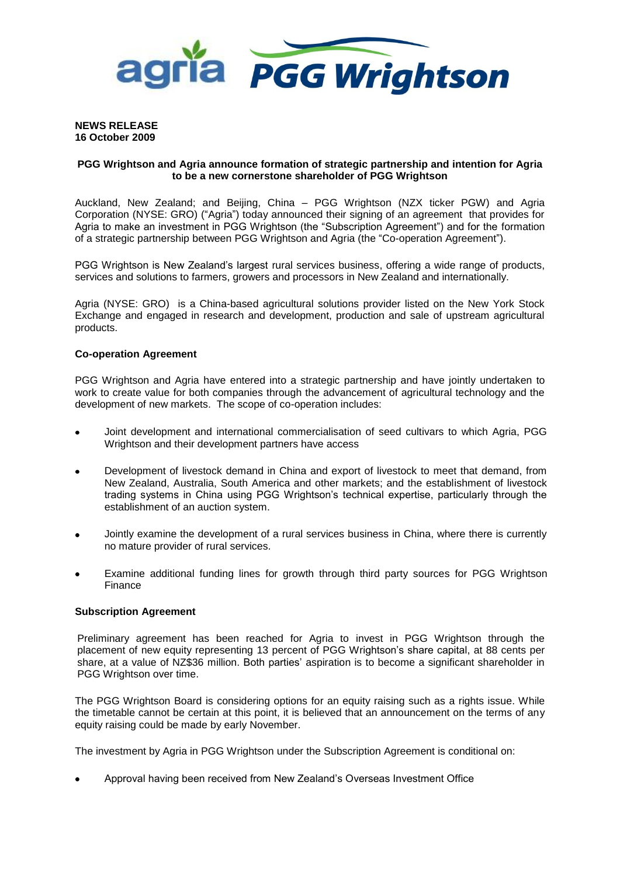

#### **NEWS RELEASE 16 October 2009**

# **PGG Wrightson and Agria announce formation of strategic partnership and intention for Agria to be a new cornerstone shareholder of PGG Wrightson**

Auckland, New Zealand; and Beijing, China – PGG Wrightson (NZX ticker PGW) and Agria Corporation (NYSE: GRO) ("Agria") today announced their signing of an agreement that provides for Agria to make an investment in PGG Wrightson (the "Subscription Agreement") and for the formation of a strategic partnership between PGG Wrightson and Agria (the "Co-operation Agreement").

PGG Wrightson is New Zealand's largest rural services business, offering a wide range of products, services and solutions to farmers, growers and processors in New Zealand and internationally.

Agria (NYSE: GRO) is a China-based agricultural solutions provider listed on the New York Stock Exchange and engaged in research and development, production and sale of upstream agricultural products.

# **Co-operation Agreement**

PGG Wrightson and Agria have entered into a strategic partnership and have jointly undertaken to work to create value for both companies through the advancement of agricultural technology and the development of new markets. The scope of co-operation includes:

- Joint development and international commercialisation of seed cultivars to which Agria, PGG Wrightson and their development partners have access
- Development of livestock demand in China and export of livestock to meet that demand, from New Zealand, Australia, South America and other markets; and the establishment of livestock trading systems in China using PGG Wrightson's technical expertise, particularly through the establishment of an auction system.
- Jointly examine the development of a rural services business in China, where there is currently no mature provider of rural services.
- Examine additional funding lines for growth through third party sources for PGG Wrightson Finance

# **Subscription Agreement**

Preliminary agreement has been reached for Agria to invest in PGG Wrightson through the placement of new equity representing 13 percent of PGG Wrightson's share capital, at 88 cents per share, at a value of NZ\$36 million. Both parties' aspiration is to become a significant shareholder in PGG Wrightson over time.

The PGG Wrightson Board is considering options for an equity raising such as a rights issue. While the timetable cannot be certain at this point, it is believed that an announcement on the terms of any equity raising could be made by early November.

The investment by Agria in PGG Wrightson under the Subscription Agreement is conditional on:

Approval having been received from New Zealand's Overseas Investment Office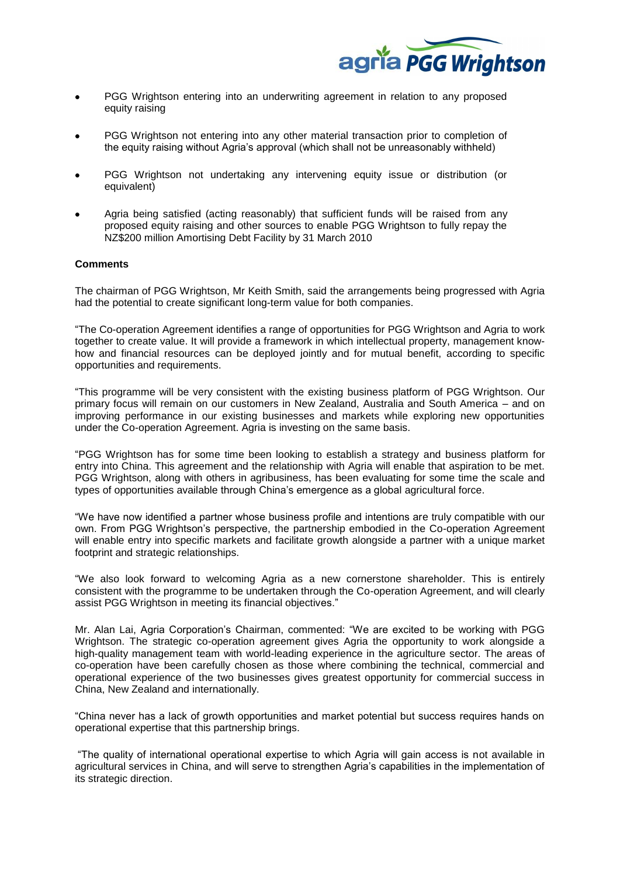

- PGG Wrightson entering into an underwriting agreement in relation to any proposed equity raising
- PGG Wrightson not entering into any other material transaction prior to completion of the equity raising without Agria's approval (which shall not be unreasonably withheld)
- PGG Wrightson not undertaking any intervening equity issue or distribution (or equivalent)
- Agria being satisfied (acting reasonably) that sufficient funds will be raised from any proposed equity raising and other sources to enable PGG Wrightson to fully repay the NZ\$200 million Amortising Debt Facility by 31 March 2010

#### **Comments**

The chairman of PGG Wrightson, Mr Keith Smith, said the arrangements being progressed with Agria had the potential to create significant long-term value for both companies.

"The Co-operation Agreement identifies a range of opportunities for PGG Wrightson and Agria to work together to create value. It will provide a framework in which intellectual property, management knowhow and financial resources can be deployed jointly and for mutual benefit, according to specific opportunities and requirements.

"This programme will be very consistent with the existing business platform of PGG Wrightson. Our primary focus will remain on our customers in New Zealand, Australia and South America – and on improving performance in our existing businesses and markets while exploring new opportunities under the Co-operation Agreement. Agria is investing on the same basis.

"PGG Wrightson has for some time been looking to establish a strategy and business platform for entry into China. This agreement and the relationship with Agria will enable that aspiration to be met. PGG Wrightson, along with others in agribusiness, has been evaluating for some time the scale and types of opportunities available through China's emergence as a global agricultural force.

"We have now identified a partner whose business profile and intentions are truly compatible with our own. From PGG Wrightson's perspective, the partnership embodied in the Co-operation Agreement will enable entry into specific markets and facilitate growth alongside a partner with a unique market footprint and strategic relationships.

"We also look forward to welcoming Agria as a new cornerstone shareholder. This is entirely consistent with the programme to be undertaken through the Co-operation Agreement, and will clearly assist PGG Wrightson in meeting its financial objectives."

Mr. Alan Lai, Agria Corporation's Chairman, commented: "We are excited to be working with PGG Wrightson. The strategic co-operation agreement gives Agria the opportunity to work alongside a high-quality management team with world-leading experience in the agriculture sector. The areas of co-operation have been carefully chosen as those where combining the technical, commercial and operational experience of the two businesses gives greatest opportunity for commercial success in China, New Zealand and internationally.

"China never has a lack of growth opportunities and market potential but success requires hands on operational expertise that this partnership brings.

"The quality of international operational expertise to which Agria will gain access is not available in agricultural services in China, and will serve to strengthen Agria's capabilities in the implementation of its strategic direction.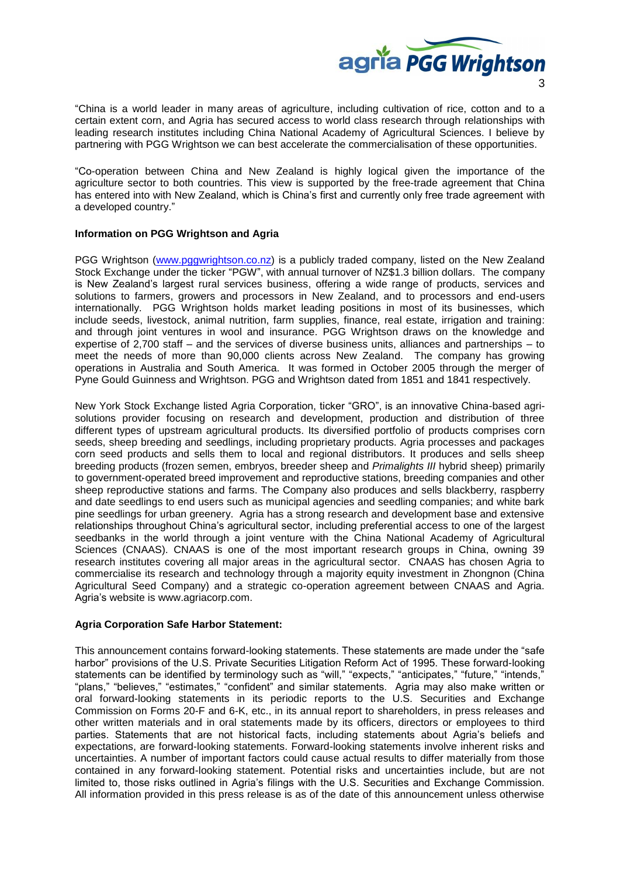

"China is a world leader in many areas of agriculture, including cultivation of rice, cotton and to a certain extent corn, and Agria has secured access to world class research through relationships with leading research institutes including China National Academy of Agricultural Sciences. I believe by partnering with PGG Wrightson we can best accelerate the commercialisation of these opportunities.

"Co-operation between China and New Zealand is highly logical given the importance of the agriculture sector to both countries. This view is supported by the free-trade agreement that China has entered into with New Zealand, which is China's first and currently only free trade agreement with a developed country."

# **Information on PGG Wrightson and Agria**

PGG Wrightson [\(www.pggwrightson.co.nz\)](http://www.pggwrightson.co.nz/) is a publicly traded company, listed on the New Zealand Stock Exchange under the ticker "PGW", with annual turnover of NZ\$1.3 billion dollars. The company is New Zealand's largest rural services business, offering a wide range of products, services and solutions to farmers, growers and processors in New Zealand, and to processors and end-users internationally. PGG Wrightson holds market leading positions in most of its businesses, which include seeds, livestock, animal nutrition, farm supplies, finance, real estate, irrigation and training: and through joint ventures in wool and insurance. PGG Wrightson draws on the knowledge and expertise of 2,700 staff – and the services of diverse business units, alliances and partnerships – to meet the needs of more than 90,000 clients across New Zealand. The company has growing operations in Australia and South America. It was formed in October 2005 through the merger of Pyne Gould Guinness and Wrightson. PGG and Wrightson dated from 1851 and 1841 respectively.

New York Stock Exchange listed Agria Corporation, ticker "GRO", is an innovative China-based agrisolutions provider focusing on research and development, production and distribution of three different types of upstream agricultural products. Its diversified portfolio of products comprises corn seeds, sheep breeding and seedlings, including proprietary products. Agria processes and packages corn seed products and sells them to local and regional distributors. It produces and sells sheep breeding products (frozen semen, embryos, breeder sheep and *Primalights III* hybrid sheep) primarily to government-operated breed improvement and reproductive stations, breeding companies and other sheep reproductive stations and farms. The Company also produces and sells blackberry, raspberry and date seedlings to end users such as municipal agencies and seedling companies; and white bark pine seedlings for urban greenery. Agria has a strong research and development base and extensive relationships throughout China's agricultural sector, including preferential access to one of the largest seedbanks in the world through a joint venture with the China National Academy of Agricultural Sciences (CNAAS). CNAAS is one of the most important research groups in China, owning 39 research institutes covering all major areas in the agricultural sector. CNAAS has chosen Agria to commercialise its research and technology through a majority equity investment in Zhongnon (China Agricultural Seed Company) and a strategic co-operation agreement between CNAAS and Agria. Agria's website is www.agriacorp.com.

## **Agria Corporation Safe Harbor Statement:**

This announcement contains forward-looking statements. These statements are made under the "safe harbor" provisions of the U.S. Private Securities Litigation Reform Act of 1995. These forward-looking statements can be identified by terminology such as "will," "expects," "anticipates," "future," "intends," "plans," "believes," "estimates," "confident" and similar statements. Agria may also make written or oral forward-looking statements in its periodic reports to the U.S. Securities and Exchange Commission on Forms 20-F and 6-K, etc., in its annual report to shareholders, in press releases and other written materials and in oral statements made by its officers, directors or employees to third parties. Statements that are not historical facts, including statements about Agria's beliefs and expectations, are forward-looking statements. Forward-looking statements involve inherent risks and uncertainties. A number of important factors could cause actual results to differ materially from those contained in any forward-looking statement. Potential risks and uncertainties include, but are not limited to, those risks outlined in Agria's filings with the U.S. Securities and Exchange Commission. All information provided in this press release is as of the date of this announcement unless otherwise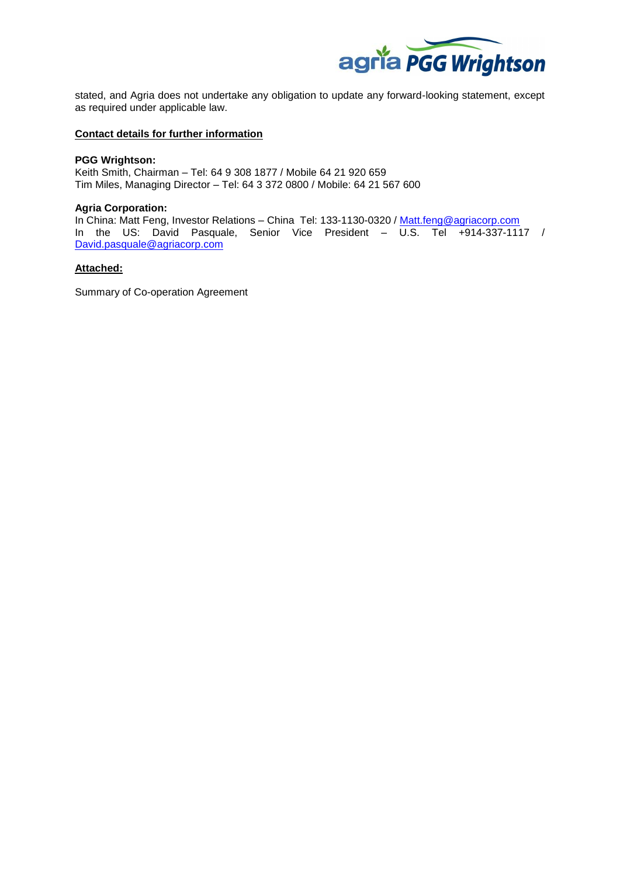

stated, and Agria does not undertake any obligation to update any forward-looking statement, except as required under applicable law.

#### **Contact details for further information**

#### **PGG Wrightson:**

Keith Smith, Chairman – Tel: 64 9 308 1877 / Mobile 64 21 920 659 Tim Miles, Managing Director – Tel: 64 3 372 0800 / Mobile: 64 21 567 600

#### **Agria Corporation:**

In China: Matt Feng, Investor Relations - China Tel: 133-1130-0320 / [Matt.feng@agriacorp.com](mailto:Matt.feng@agriacorp.com) In the US: David Pasquale, Senior Vice President – U.S. Tel +914-337-1117 / [David.pasquale@agriacorp.com](mailto:David.pasquale@agriacorp.com)

# **Attached:**

Summary of Co-operation Agreement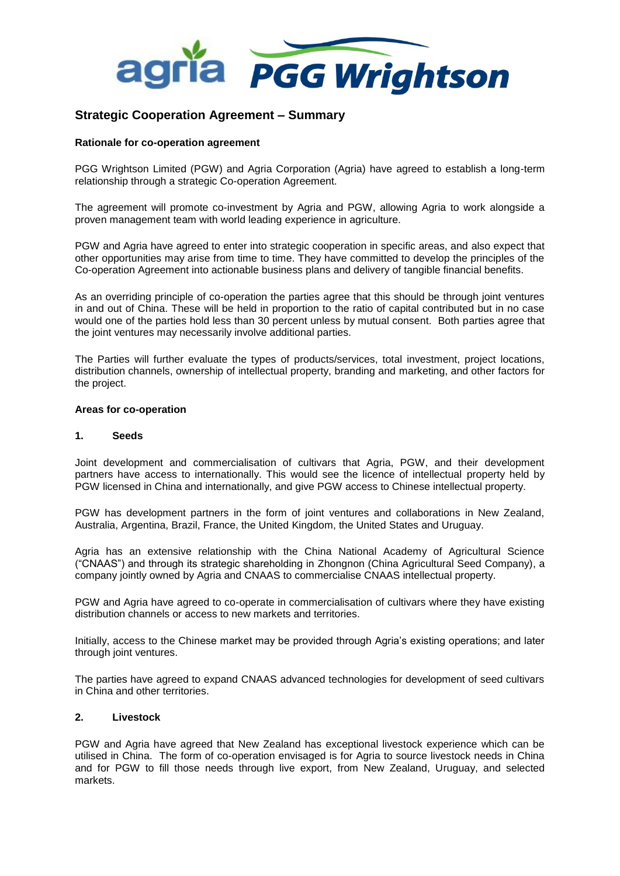

# **Strategic Cooperation Agreement – Summary**

# **Rationale for co-operation agreement**

PGG Wrightson Limited (PGW) and Agria Corporation (Agria) have agreed to establish a long-term relationship through a strategic Co-operation Agreement.

The agreement will promote co-investment by Agria and PGW, allowing Agria to work alongside a proven management team with world leading experience in agriculture.

PGW and Agria have agreed to enter into strategic cooperation in specific areas, and also expect that other opportunities may arise from time to time. They have committed to develop the principles of the Co-operation Agreement into actionable business plans and delivery of tangible financial benefits.

As an overriding principle of co-operation the parties agree that this should be through joint ventures in and out of China. These will be held in proportion to the ratio of capital contributed but in no case would one of the parties hold less than 30 percent unless by mutual consent. Both parties agree that the joint ventures may necessarily involve additional parties.

The Parties will further evaluate the types of products/services, total investment, project locations, distribution channels, ownership of intellectual property, branding and marketing, and other factors for the project.

## **Areas for co-operation**

## **1. Seeds**

Joint development and commercialisation of cultivars that Agria, PGW, and their development partners have access to internationally. This would see the licence of intellectual property held by PGW licensed in China and internationally, and give PGW access to Chinese intellectual property.

PGW has development partners in the form of joint ventures and collaborations in New Zealand, Australia, Argentina, Brazil, France, the United Kingdom, the United States and Uruguay.

Agria has an extensive relationship with the China National Academy of Agricultural Science ("CNAAS") and through its strategic shareholding in Zhongnon (China Agricultural Seed Company), a company jointly owned by Agria and CNAAS to commercialise CNAAS intellectual property.

PGW and Agria have agreed to co-operate in commercialisation of cultivars where they have existing distribution channels or access to new markets and territories.

Initially, access to the Chinese market may be provided through Agria's existing operations; and later through joint ventures.

The parties have agreed to expand CNAAS advanced technologies for development of seed cultivars in China and other territories.

## **2. Livestock**

PGW and Agria have agreed that New Zealand has exceptional livestock experience which can be utilised in China. The form of co-operation envisaged is for Agria to source livestock needs in China and for PGW to fill those needs through live export, from New Zealand, Uruguay, and selected markets.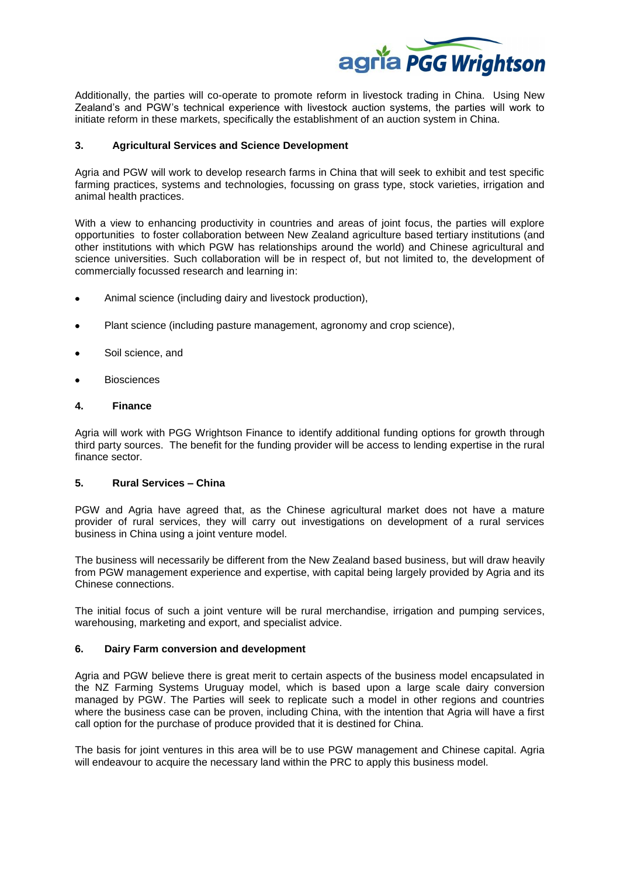

Additionally, the parties will co-operate to promote reform in livestock trading in China. Using New Zealand's and PGW's technical experience with livestock auction systems, the parties will work to initiate reform in these markets, specifically the establishment of an auction system in China.

# **3. Agricultural Services and Science Development**

Agria and PGW will work to develop research farms in China that will seek to exhibit and test specific farming practices, systems and technologies, focussing on grass type, stock varieties, irrigation and animal health practices.

With a view to enhancing productivity in countries and areas of joint focus, the parties will explore opportunities to foster collaboration between New Zealand agriculture based tertiary institutions (and other institutions with which PGW has relationships around the world) and Chinese agricultural and science universities. Such collaboration will be in respect of, but not limited to, the development of commercially focussed research and learning in:

- Animal science (including dairy and livestock production),  $\bullet$
- Plant science (including pasture management, agronomy and crop science),
- Soil science, and
- **Biosciences**

## **4. Finance**

Agria will work with PGG Wrightson Finance to identify additional funding options for growth through third party sources. The benefit for the funding provider will be access to lending expertise in the rural finance sector.

# **5. Rural Services – China**

PGW and Agria have agreed that, as the Chinese agricultural market does not have a mature provider of rural services, they will carry out investigations on development of a rural services business in China using a joint venture model.

The business will necessarily be different from the New Zealand based business, but will draw heavily from PGW management experience and expertise, with capital being largely provided by Agria and its Chinese connections.

The initial focus of such a joint venture will be rural merchandise, irrigation and pumping services, warehousing, marketing and export, and specialist advice.

## **6. Dairy Farm conversion and development**

Agria and PGW believe there is great merit to certain aspects of the business model encapsulated in the NZ Farming Systems Uruguay model, which is based upon a large scale dairy conversion managed by PGW. The Parties will seek to replicate such a model in other regions and countries where the business case can be proven, including China, with the intention that Agria will have a first call option for the purchase of produce provided that it is destined for China.

The basis for joint ventures in this area will be to use PGW management and Chinese capital. Agria will endeavour to acquire the necessary land within the PRC to apply this business model.